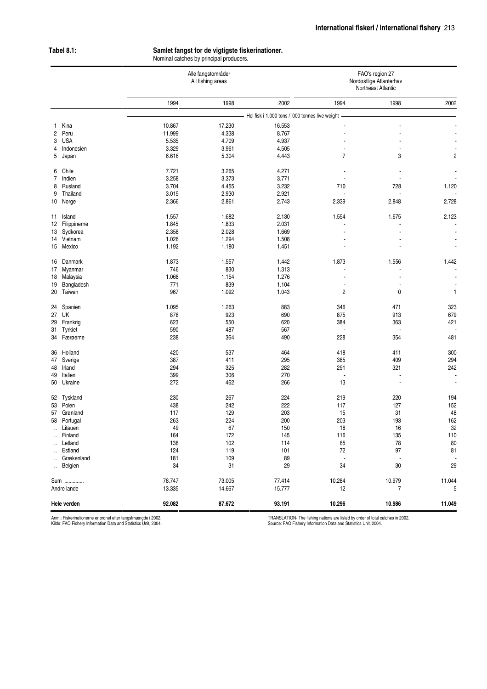## **Tabel 8.1: Samlet fangst for de vigtigste fiskerinationer.**

Nominal catches by principal producers.

|                      |                        | Alle fangstområder<br>All fishing areas |              |                                                 | FAO's region 27<br>Nordøstlige Atlanterhav<br>Northeast Atlantic |                          |                          |
|----------------------|------------------------|-----------------------------------------|--------------|-------------------------------------------------|------------------------------------------------------------------|--------------------------|--------------------------|
|                      |                        | 1994                                    | 1998         | 2002                                            | 1994                                                             | 1998                     | 2002                     |
|                      |                        |                                         |              | Hel fisk i 1.000 tons / '000 tonnes live weight |                                                                  |                          |                          |
| 1                    | Kina                   | 10.867                                  | 17.230       | 16.553                                          |                                                                  |                          |                          |
| $\overline{c}$       | Peru                   | 11.999                                  | 4.338        | 8.767                                           |                                                                  |                          |                          |
| 3                    | <b>USA</b>             | 5.535                                   | 4.709        | 4.937                                           |                                                                  |                          |                          |
| 4                    | Indonesien             | 3.329                                   | 3.961        | 4.505                                           | $\blacksquare$                                                   | $\blacksquare$           |                          |
| 5                    | Japan                  | 6.616                                   | 5.304        | 4.443                                           | $\overline{7}$                                                   | 3                        | $\overline{c}$           |
| 6                    | Chile                  | 7.721                                   | 3.265        | 4.271                                           |                                                                  |                          |                          |
| $\overline{7}$       | Indien                 | 3.258                                   | 3.373        | 3.771                                           |                                                                  |                          |                          |
| 8                    | Rusland                | 3.704                                   | 4.455        | 3.232                                           | 710                                                              | 728                      | 1.120                    |
| 9                    | Thailand               | 3.015                                   | 2.930        | 2.921                                           |                                                                  |                          |                          |
| 10                   | Norge                  | 2.366                                   | 2.861        | 2.743                                           | 2.339                                                            | 2.848                    | 2.728                    |
| 11                   | Island                 | 1.557                                   | 1.682        | 2.130                                           | 1.554                                                            | 1.675                    | 2.123                    |
| 12                   | Filippinerne           | 1.845                                   | 1.833        | 2.031                                           |                                                                  |                          |                          |
|                      | 13 Sydkorea            | 2.358                                   | 2.028        | 1.669                                           |                                                                  |                          | $\overline{\phantom{a}}$ |
| 14                   | Vietnam                | 1.026                                   | 1.294        | 1.508                                           |                                                                  |                          |                          |
|                      | 15 Mexico              | 1.192                                   | 1.180        | 1.451                                           |                                                                  |                          | $\blacksquare$           |
|                      |                        |                                         |              |                                                 |                                                                  |                          |                          |
| 16<br>17             | Danmark<br>Myanmar     | 1.873<br>746                            | 1.557<br>830 | 1.442<br>1.313                                  | 1.873                                                            | 1.556                    | 1.442                    |
| 18                   | Malaysia               | 1.068                                   | 1.154        | 1.276                                           |                                                                  |                          |                          |
| 19                   | Bangladesh             | 771                                     | 839          | 1.104                                           |                                                                  |                          |                          |
| 20                   | Taiwan                 | 967                                     | 1.092        | 1.043                                           | $\overline{\mathbf{c}}$                                          | 0                        | 1                        |
|                      |                        |                                         |              |                                                 |                                                                  |                          |                          |
| 24                   | Spanien<br>27 UK       | 1.095<br>878                            | 1.263<br>923 | 883<br>690                                      | 346<br>875                                                       | 471<br>913               | 323<br>679               |
|                      |                        | 623                                     | 550          | 620                                             | 384                                                              | 363                      | 421                      |
| 29                   | Frankrig               | 590                                     | 487          | 567                                             |                                                                  |                          |                          |
| 34                   | 31 Tyrkiet<br>Færøerne | 238                                     | 364          | 490                                             | 228                                                              | 354                      | 481                      |
|                      |                        |                                         |              |                                                 |                                                                  |                          |                          |
| 36                   | Holland                | 420                                     | 537          | 464                                             | 418                                                              | 411                      | 300                      |
| 47                   | Sverige                | 387                                     | 411          | 295                                             | 385                                                              | 409                      | 294                      |
| 48                   | Irland                 | 294                                     | 325          | 282                                             | 291                                                              | 321                      | 242                      |
| 49                   | Italien                | 399                                     | 306          | 270                                             | $\overline{\phantom{a}}$                                         |                          |                          |
| 50                   | Ukraine                | 272                                     | 462          | 266                                             | 13                                                               |                          |                          |
|                      | 52 Tyskland            | 230                                     | 267          | 224                                             | 219                                                              | 220                      | 194                      |
| 53                   | Polen                  | 438                                     | 242          | 222                                             | 117                                                              | 127                      | 152                      |
| 57                   | Grønland               | 117                                     | 129          | 203                                             | 15                                                               | 31                       | 48                       |
| 58                   | Portugal               | 263                                     | 224          | 200                                             | 203                                                              | 193                      | 162                      |
| $\ddot{\phantom{a}}$ | Litauen                | 49                                      | 67           | 150                                             | 18                                                               | 16                       | 32                       |
|                      | Finland                | 164                                     | 172          | 145                                             | 116                                                              | 135                      | 110                      |
| $\sim$               | Letland                | 138                                     | 102          | 114                                             | 65                                                               | 78                       | 80                       |
| $\ddot{\phantom{a}}$ | Estland                | 124                                     | 119          | 101                                             | 72                                                               | 97                       | 81                       |
|                      | Grækenland             | 181                                     | 109          | 89                                              | $\overline{\phantom{a}}$                                         | $\overline{\phantom{a}}$ |                          |
|                      | Belgien                | 34                                      | 31           | 29                                              | 34                                                               | 30                       | 29                       |
| Sum                  |                        | 78.747                                  | 73.005       | 77.414                                          | 10.284                                                           | 10.979                   | 11.044                   |
| Andre lande          |                        | 13.335                                  | 14.667       | 15.777                                          | 12                                                               | $\overline{7}$           | 5                        |
|                      | Hele verden            | 92.082                                  | 87.672       | 93.191                                          | 10.296                                                           | 10.986                   | 11.049                   |

Anm.: Fiskerinationerne er ordnet efter fangstmængde i 2002. Kilde: FAO Fishery Information Data and Statistics Unit, 2004.

TRANSLATION- The fishing nations are listed by order of total catches in 2002. Source: FAO Fishery Information Data and Statistics Unit, 2004.